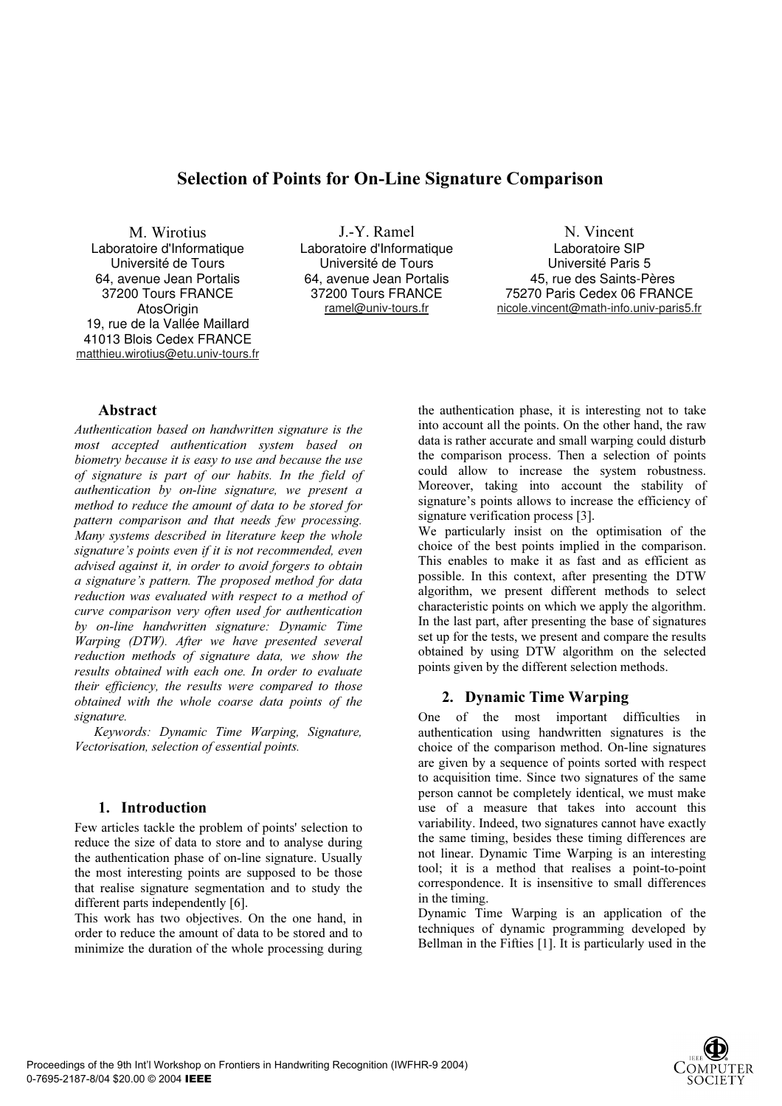# Selection of Points for On-Line Signature Comparison

M. Wirotius Laboratoire d'Informatique Université de Tours 64, avenue Jean Portalis 37200 Tours FRANCE **AtosOrigin** 19, rue de la Vallée Maillard 41013 Blois Cedex FRANCE matthieu.wirotius@etu.univ-tours.fr

J.-Y. Ramel Laboratoire d'Informatique Université de Tours 64, avenue Jean Portalis 37200 Tours FRANCE ramel@univ-tours.fr

N. Vincent Laboratoire SIP Université Paris 5 45, rue des Saints-Pères 75270 Paris Cedex 06 FRANCE nicole.vincent@math-info.univ-paris5.fr

# Abstract

Authentication based on handwritten signature is the most accepted authentication system based on biometry because it is easy to use and because the use of signature is part of our habits. In the field of authentication by on-line signature, we present a method to reduce the amount of data to be stored for pattern comparison and that needs few processing. Many systems described in literature keep the whole signature's points even if it is not recommended, even advised against it, in order to avoid forgers to obtain a signature's pattern. The proposed method for data reduction was evaluated with respect to a method of curve comparison very often used for authentication by on-line handwritten signature: Dynamic Time Warping (DTW). After we have presented several reduction methods of signature data, we show the results obtained with each one. In order to evaluate their efficiency, the results were compared to those obtained with the whole coarse data points of the signature.

Keywords: Dynamic Time Warping, Signature, Vectorisation, selection of essential points.

# 1. Introduction

Few articles tackle the problem of points' selection to reduce the size of data to store and to analyse during the authentication phase of on-line signature. Usually the most interesting points are supposed to be those that realise signature segmentation and to study the different parts independently [6].

This work has two objectives. On the one hand, in order to reduce the amount of data to be stored and to minimize the duration of the whole processing during the authentication phase, it is interesting not to take into account all the points. On the other hand, the raw data is rather accurate and small warping could disturb the comparison process. Then a selection of points could allow to increase the system robustness. Moreover, taking into account the stability of signature's points allows to increase the efficiency of signature verification process [3].

We particularly insist on the optimisation of the choice of the best points implied in the comparison. This enables to make it as fast and as efficient as possible. In this context, after presenting the DTW algorithm, we present different methods to select characteristic points on which we apply the algorithm. In the last part, after presenting the base of signatures set up for the tests, we present and compare the results obtained by using DTW algorithm on the selected points given by the different selection methods.

# 2. Dynamic Time Warping

One of the most important difficulties in authentication using handwritten signatures is the choice of the comparison method. On-line signatures are given by a sequence of points sorted with respect to acquisition time. Since two signatures of the same person cannot be completely identical, we must make use of a measure that takes into account this variability. Indeed, two signatures cannot have exactly the same timing, besides these timing differences are not linear. Dynamic Time Warping is an interesting tool; it is a method that realises a point-to-point correspondence. It is insensitive to small differences in the timing.

Dynamic Time Warping is an application of the techniques of dynamic programming developed by Bellman in the Fifties [1]. It is particularly used in the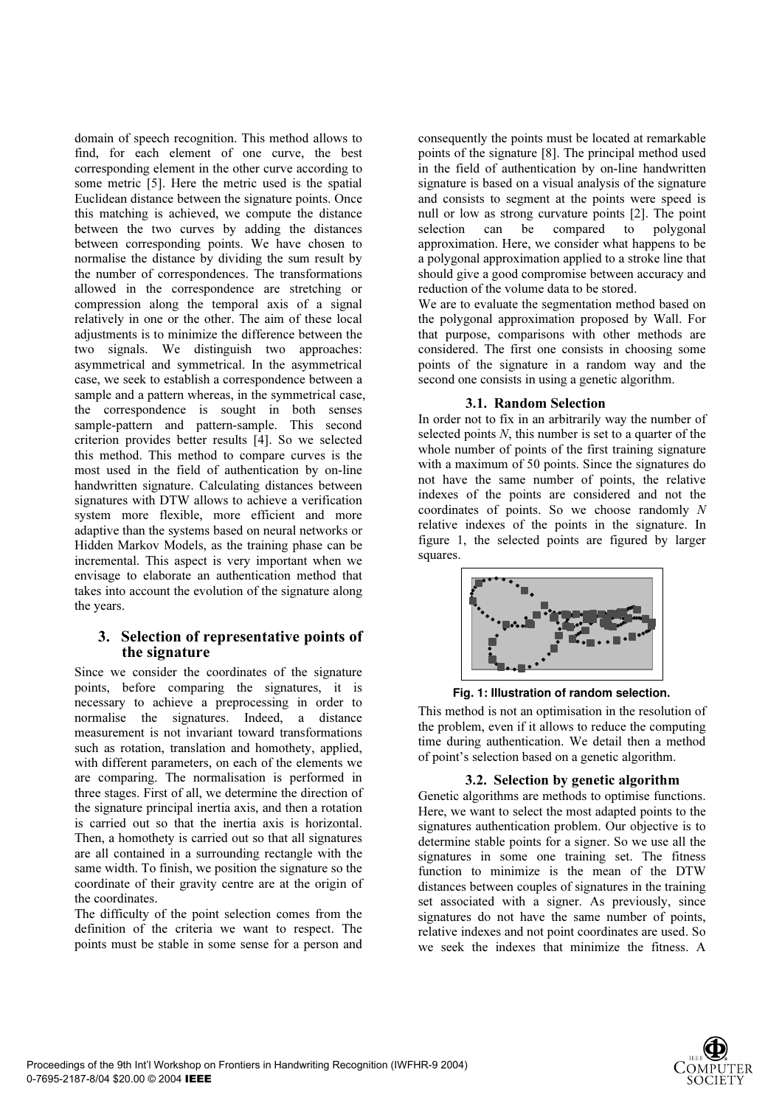domain of speech recognition. This method allows to find, for each element of one curve, the best corresponding element in the other curve according to some metric [5]. Here the metric used is the spatial Euclidean distance between the signature points. Once this matching is achieved, we compute the distance between the two curves by adding the distances between corresponding points. We have chosen to normalise the distance by dividing the sum result by the number of correspondences. The transformations allowed in the correspondence are stretching or compression along the temporal axis of a signal relatively in one or the other. The aim of these local adjustments is to minimize the difference between the two signals. We distinguish two approaches: asymmetrical and symmetrical. In the asymmetrical case, we seek to establish a correspondence between a sample and a pattern whereas, in the symmetrical case, the correspondence is sought in both senses sample-pattern and pattern-sample. This second criterion provides better results [4]. So we selected this method. This method to compare curves is the most used in the field of authentication by on-line handwritten signature. Calculating distances between signatures with DTW allows to achieve a verification system more flexible, more efficient and more adaptive than the systems based on neural networks or Hidden Markov Models, as the training phase can be incremental. This aspect is very important when we envisage to elaborate an authentication method that takes into account the evolution of the signature along the years.

# 3. Selection of representative points of the signature

Since we consider the coordinates of the signature points, before comparing the signatures, it is necessary to achieve a preprocessing in order to normalise the signatures. Indeed, a distance measurement is not invariant toward transformations such as rotation, translation and homothety, applied, with different parameters, on each of the elements we are comparing. The normalisation is performed in three stages. First of all, we determine the direction of the signature principal inertia axis, and then a rotation is carried out so that the inertia axis is horizontal. Then, a homothety is carried out so that all signatures are all contained in a surrounding rectangle with the same width. To finish, we position the signature so the coordinate of their gravity centre are at the origin of the coordinates.

The difficulty of the point selection comes from the definition of the criteria we want to respect. The points must be stable in some sense for a person and consequently the points must be located at remarkable points of the signature [8]. The principal method used in the field of authentication by on-line handwritten signature is based on a visual analysis of the signature and consists to segment at the points were speed is null or low as strong curvature points [2]. The point selection can be compared to polygonal approximation. Here, we consider what happens to be a polygonal approximation applied to a stroke line that should give a good compromise between accuracy and reduction of the volume data to be stored.

We are to evaluate the segmentation method based on the polygonal approximation proposed by Wall. For that purpose, comparisons with other methods are considered. The first one consists in choosing some points of the signature in a random way and the second one consists in using a genetic algorithm.

# 3.1. Random Selection

In order not to fix in an arbitrarily way the number of selected points N, this number is set to a quarter of the whole number of points of the first training signature with a maximum of 50 points. Since the signatures do not have the same number of points, the relative indexes of the points are considered and not the coordinates of points. So we choose randomly N relative indexes of the points in the signature. In figure 1, the selected points are figured by larger squares.



Fig. 1: Illustration of random selection.

This method is not an optimisation in the resolution of the problem, even if it allows to reduce the computing time during authentication. We detail then a method of point's selection based on a genetic algorithm.

#### 3.2. Selection by genetic algorithm

Genetic algorithms are methods to optimise functions. Here, we want to select the most adapted points to the signatures authentication problem. Our objective is to determine stable points for a signer. So we use all the signatures in some one training set. The fitness function to minimize is the mean of the DTW distances between couples of signatures in the training set associated with a signer. As previously, since signatures do not have the same number of points, relative indexes and not point coordinates are used. So we seek the indexes that minimize the fitness. A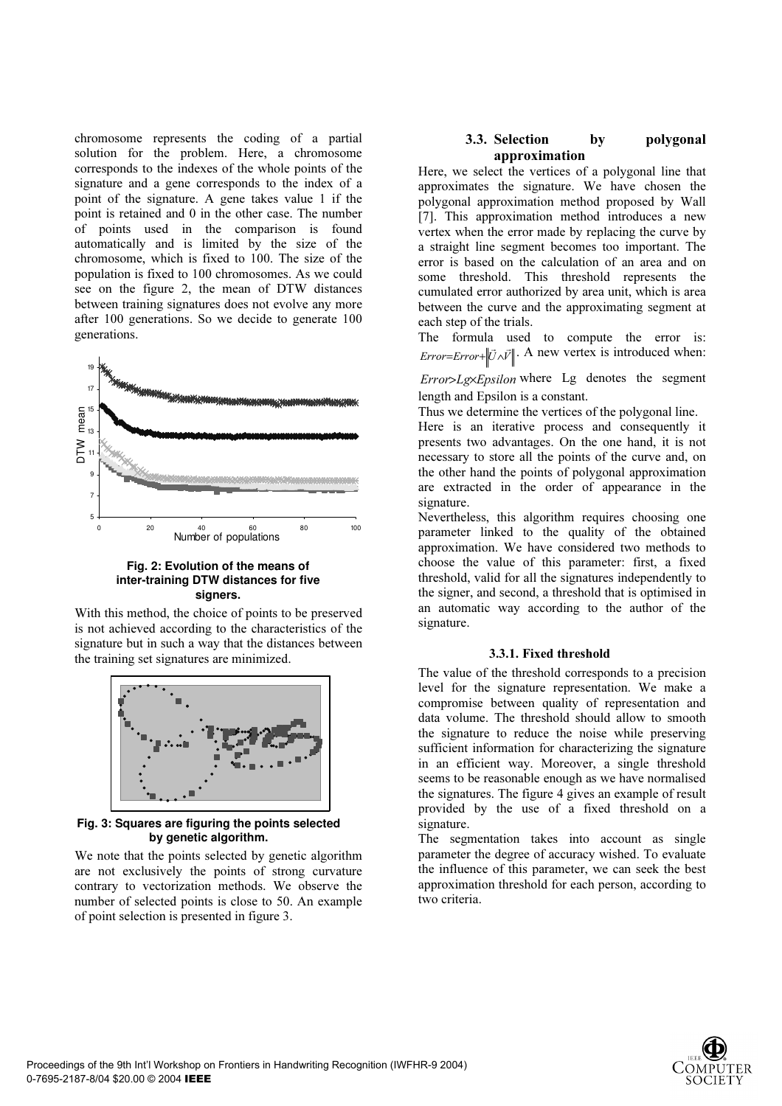chromosome represents the coding of a partial solution for the problem. Here, a chromosome corresponds to the indexes of the whole points of the signature and a gene corresponds to the index of a point of the signature. A gene takes value 1 if the point is retained and 0 in the other case. The number of points used in the comparison is found automatically and is limited by the size of the chromosome, which is fixed to 100. The size of the population is fixed to 100 chromosomes. As we could see on the figure 2, the mean of DTW distances between training signatures does not evolve any more after 100 generations. So we decide to generate 100 generations.



#### Fig. 2: Evolution of the means of inter-training DTW distances for five signers.

With this method, the choice of points to be preserved is not achieved according to the characteristics of the signature but in such a way that the distances between the training set signatures are minimized.



Fig. 3: Squares are figuring the points selected by genetic algorithm.

We note that the points selected by genetic algorithm are not exclusively the points of strong curvature contrary to vectorization methods. We observe the number of selected points is close to 50. An example of point selection is presented in figure 3.

# 3.3. Selection by polygonal approximation

Here, we select the vertices of a polygonal line that approximates the signature. We have chosen the polygonal approximation method proposed by Wall [7]. This approximation method introduces a new vertex when the error made by replacing the curve by a straight line segment becomes too important. The error is based on the calculation of an area and on some threshold. This threshold represents the cumulated error authorized by area unit, which is area between the curve and the approximating segment at each step of the trials.

The formula used to compute the error is:  $Error = Error + ||\vec{U} \wedge \vec{V}||$ . A new vertex is introduced when:

Error>Lg×Epsilon where Lg denotes the segment length and Epsilon is a constant.

Thus we determine the vertices of the polygonal line.

Here is an iterative process and consequently it presents two advantages. On the one hand, it is not necessary to store all the points of the curve and, on the other hand the points of polygonal approximation are extracted in the order of appearance in the signature.

Nevertheless, this algorithm requires choosing one parameter linked to the quality of the obtained approximation. We have considered two methods to choose the value of this parameter: first, a fixed threshold, valid for all the signatures independently to the signer, and second, a threshold that is optimised in an automatic way according to the author of the signature.

### 3.3.1. Fixed threshold

The value of the threshold corresponds to a precision level for the signature representation. We make a compromise between quality of representation and data volume. The threshold should allow to smooth the signature to reduce the noise while preserving sufficient information for characterizing the signature in an efficient way. Moreover, a single threshold seems to be reasonable enough as we have normalised the signatures. The figure 4 gives an example of result provided by the use of a fixed threshold on a signature.

The segmentation takes into account as single parameter the degree of accuracy wished. To evaluate the influence of this parameter, we can seek the best approximation threshold for each person, according to two criteria.

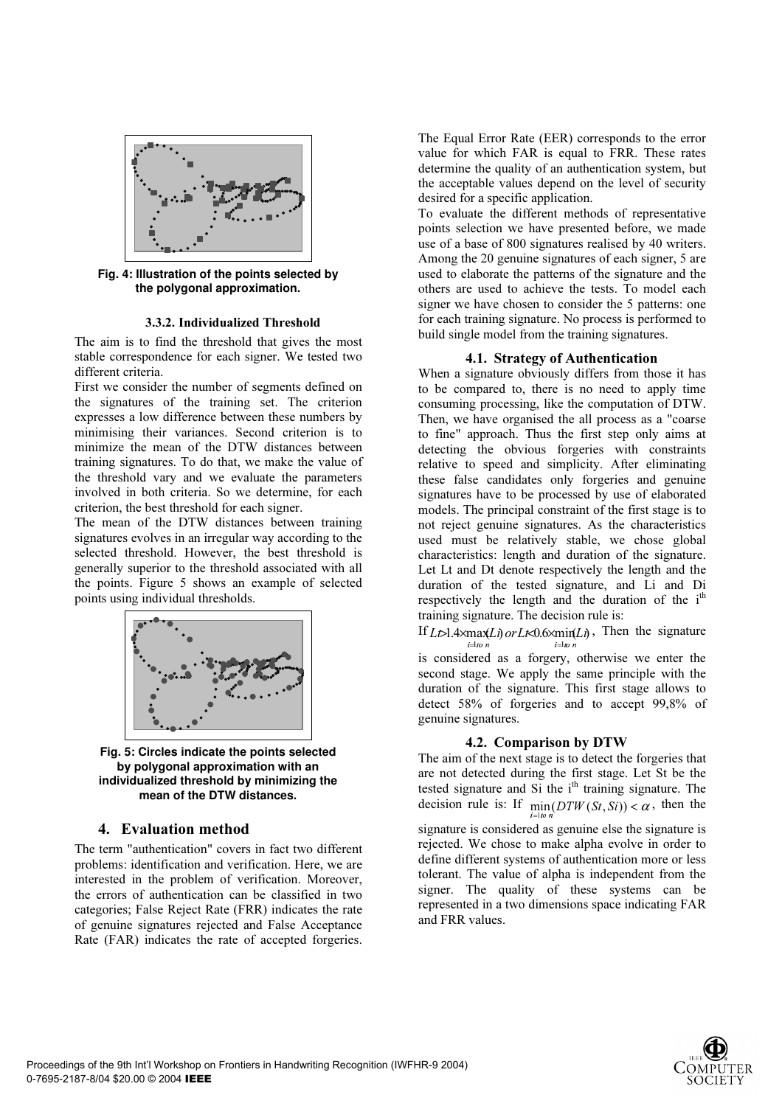

Fig. 4: Illustration of the points selected by the polygonal approximation.

#### 3.3.2. Individualized Threshold

The aim is to find the threshold that gives the most stable correspondence for each signer. We tested two different criteria.

First we consider the number of segments defined on the signatures of the training set. The criterion expresses a low difference between these numbers by minimising their variances. Second criterion is to minimize the mean of the DTW distances between training signatures. To do that, we make the value of the threshold vary and we evaluate the parameters involved in both criteria. So we determine, for each criterion, the best threshold for each signer.

The mean of the DTW distances between training signatures evolves in an irregular way according to the selected threshold. However, the best threshold is generally superior to the threshold associated with all the points. Figure 5 shows an example of selected points using individual thresholds.



Fig. 5: Circles indicate the points selected by polygonal approximation with an individualized threshold by minimizing the mean of the DTW distances.

### 4. Evaluation method

The term "authentication" covers in fact two different problems: identification and verification. Here, we are interested in the problem of verification. Moreover, the errors of authentication can be classified in two categories; False Reject Rate (FRR) indicates the rate of genuine signatures rejected and False Acceptance Rate (FAR) indicates the rate of accepted forgeries.

The Equal Error Rate (EER) corresponds to the error value for which FAR is equal to FRR. These rates determine the quality of an authentication system, but the acceptable values depend on the level of security desired for a specific application.

To evaluate the different methods of representative points selection we have presented before, we made use of a base of 800 signatures realised by 40 writers. Among the 20 genuine signatures of each signer, 5 are used to elaborate the patterns of the signature and the others are used to achieve the tests. To model each signer we have chosen to consider the 5 patterns: one for each training signature. No process is performed to build single model from the training signatures.

#### 4.1. Strategy of Authentication

When a signature obviously differs from those it has to be compared to, there is no need to apply time consuming processing, like the computation of DTW. Then, we have organised the all process as a "coarse to fine" approach. Thus the first step only aims at detecting the obvious forgeries with constraints relative to speed and simplicity. After eliminating these false candidates only forgeries and genuine signatures have to be processed by use of elaborated models. The principal constraint of the first stage is to not reject genuine signatures. As the characteristics used must be relatively stable, we chose global characteristics: length and duration of the signature. Let Lt and Dt denote respectively the length and the duration of the tested signature, and Li and Di respectively the length and the duration of the  $i<sup>th</sup>$ training signature. The decision rule is:

If  $L \geq 1.4 \times \max(L)$  or  $L \lt 0.6 \times \min(L)$ , Then the signature  $-1$  for  $$  $i =$   $\frac{1}{i}$   $\frac{1}{i}$   $\frac{1}{i}$   $\frac{1}{i}$ 

is considered as a forgery, otherwise we enter the second stage. We apply the same principle with the duration of the signature. This first stage allows to detect 58% of forgeries and to accept 99,8% of genuine signatures.

#### 4.2. Comparison by DTW

The aim of the next stage is to detect the forgeries that are not detected during the first stage. Let St be the tested signature and  $Si$  the  $i<sup>th</sup>$  training signature. The decision rule is: If  $\min_{i=1,\omega} (DTW(St, Si)) < \alpha$ , then the

signature is considered as genuine else the signature is rejected. We chose to make alpha evolve in order to define different systems of authentication more or less tolerant. The value of alpha is independent from the signer. The quality of these systems can be represented in a two dimensions space indicating FAR and FRR values.

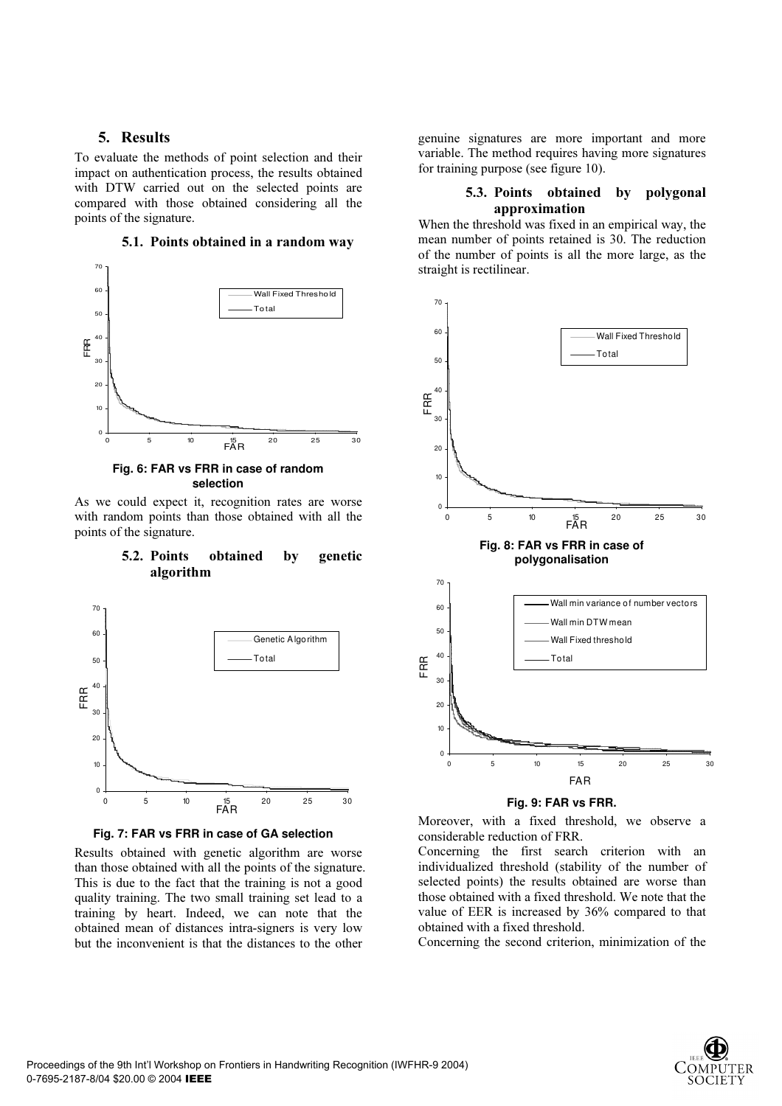# 5. Results

To evaluate the methods of point selection and their impact on authentication process, the results obtained with DTW carried out on the selected points are compared with those obtained considering all the points of the signature.



#### 5.1. Points obtained in a random way

Fig. 6: FAR vs FRR in case of random selection

As we could expect it, recognition rates are worse with random points than those obtained with all the points of the signature.

# 5.2. Points obtained by genetic algorithm



Fig. 7: FAR vs FRR in case of GA selection

Results obtained with genetic algorithm are worse than those obtained with all the points of the signature. This is due to the fact that the training is not a good quality training. The two small training set lead to a training by heart. Indeed, we can note that the obtained mean of distances intra-signers is very low but the inconvenient is that the distances to the other

genuine signatures are more important and more variable. The method requires having more signatures for training purpose (see figure 10).

# 5.3. Points obtained by polygonal approximation

When the threshold was fixed in an empirical way, the mean number of points retained is 30. The reduction of the number of points is all the more large, as the straight is rectilinear.



#### Fig. 9: FAR vs FRR.

Moreover, with a fixed threshold, we observe a considerable reduction of FRR.

Concerning the first search criterion with an individualized threshold (stability of the number of selected points) the results obtained are worse than those obtained with a fixed threshold. We note that the value of EER is increased by 36% compared to that obtained with a fixed threshold.

Concerning the second criterion, minimization of the